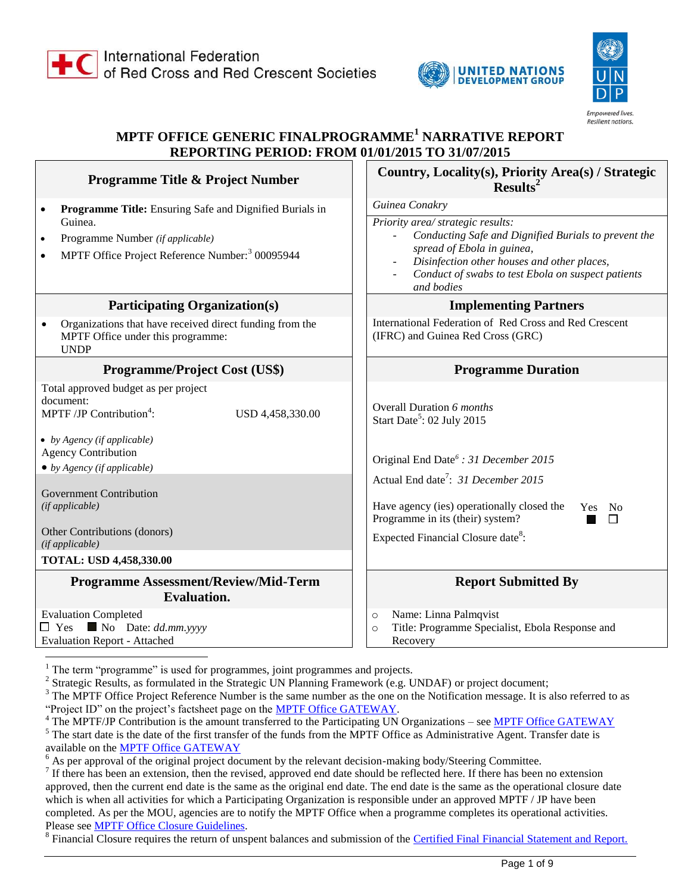



# **MPTF OFFICE GENERIC FINALPROGRAMME<sup>1</sup> NARRATIVE REPORT REPORTING PERIOD: FROM 01/01/2015 TO 31/07/2015**

| Programme Title & Project Number                                                                                                                                                                                                                                                                                                                           | Country, Locality(s), Priority Area(s) / Strategic<br>$Results2$                                                                                                                                                                                                                                                               |  |
|------------------------------------------------------------------------------------------------------------------------------------------------------------------------------------------------------------------------------------------------------------------------------------------------------------------------------------------------------------|--------------------------------------------------------------------------------------------------------------------------------------------------------------------------------------------------------------------------------------------------------------------------------------------------------------------------------|--|
| Programme Title: Ensuring Safe and Dignified Burials in<br>$\bullet$<br>Guinea.<br>Programme Number (if applicable)<br>$\bullet$<br>MPTF Office Project Reference Number: <sup>3</sup> 00095944<br><b>Participating Organization(s)</b>                                                                                                                    | Guinea Conakry<br>Priority area/ strategic results:<br>Conducting Safe and Dignified Burials to prevent the<br>spread of Ebola in guinea,<br>Disinfection other houses and other places,<br>Conduct of swabs to test Ebola on suspect patients<br>and bodies<br><b>Implementing Partners</b>                                   |  |
| Organizations that have received direct funding from the<br>MPTF Office under this programme:<br><b>UNDP</b>                                                                                                                                                                                                                                               | International Federation of Red Cross and Red Crescent<br>(IFRC) and Guinea Red Cross (GRC)                                                                                                                                                                                                                                    |  |
| <b>Programme/Project Cost (US\$)</b>                                                                                                                                                                                                                                                                                                                       | <b>Programme Duration</b>                                                                                                                                                                                                                                                                                                      |  |
| Total approved budget as per project<br>document:<br>MPTF/JP Contribution <sup>4</sup> :<br>USD 4,458,330.00<br>• by Agency (if applicable)<br><b>Agency Contribution</b><br>$\bullet$ by Agency (if applicable)<br><b>Government Contribution</b><br>(if applicable)<br>Other Contributions (donors)<br>(if applicable)<br><b>TOTAL: USD 4,458,330.00</b> | Overall Duration 6 months<br>Start Date <sup>5</sup> : 02 July 2015<br>Original End Date <sup>6</sup> : 31 December 2015<br>Actual End date <sup>7</sup> : 31 December 2015<br>Have agency (ies) operationally closed the<br>Yes No<br>Programme in its (their) system?<br>П<br>Expected Financial Closure date <sup>8</sup> : |  |
| <b>Programme Assessment/Review/Mid-Term</b><br><b>Evaluation.</b>                                                                                                                                                                                                                                                                                          | <b>Report Submitted By</b>                                                                                                                                                                                                                                                                                                     |  |
| <b>Evaluation Completed</b><br>$\Box$ Yes $\blacksquare$ No Date: dd.mm.yyyy<br><b>Evaluation Report - Attached</b>                                                                                                                                                                                                                                        | Name: Linna Palmqvist<br>$\circ$<br>Title: Programme Specialist, Ebola Response and<br>$\circ$<br>Recovery                                                                                                                                                                                                                     |  |

 $1$  The term "programme" is used for programmes, joint programmes and projects.

<sup>2</sup> Strategic Results, as formulated in the Strategic UN Planning Framework (e.g. UNDAF) or project document;

<sup>3</sup> The MPTF Office Project Reference Number is the same number as the one on the Notification message. It is also referred to as "Project ID" on the project's factsheet page on the **MPTF Office GATEWAY**.

<sup>4</sup> The MPTF/JP Contribution is the amount transferred to the Participating UN Organizations – se[e MPTF Office GATEWAY](http://mdtf.undp.org/)

 $<sup>5</sup>$  The start date is the date of the first transfer of the funds from the MPTF Office as Administrative Agent. Transfer date is</sup> available on the **MPTF Office GATEWAY** 

 $6$  As per approval of the original project document by the relevant decision-making body/Steering Committee.

 $<sup>7</sup>$  If there has been an extension, then the revised, approved end date should be reflected here. If there has been no extension</sup> approved, then the current end date is the same as the original end date. The end date is the same as the operational closure date which is when all activities for which a Participating Organization is responsible under an approved MPTF / JP have been completed. As per the MOU, agencies are to notify the MPTF Office when a programme completes its operational activities. Please se[e MPTF Office Closure Guidelines.](http://mdtf.undp.org/document/download/5449)

<sup>8</sup> Financial Closure requires the return of unspent balances and submission of the [Certified Final Financial Statement and Report.](http://mdtf.undp.org/document/download/5388)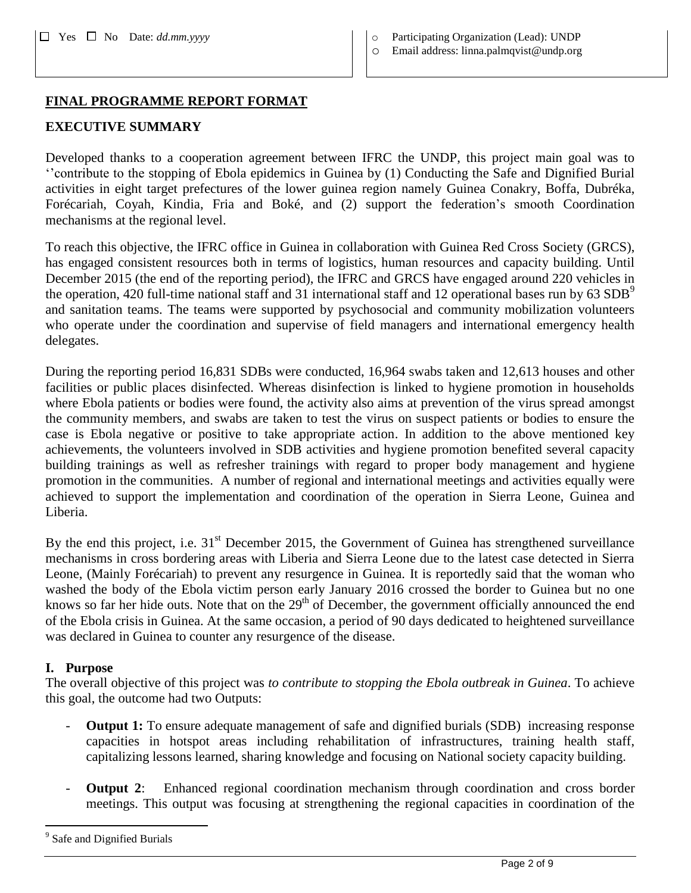- Yes No Date: *dd.mm.yyyy* o Participating Organization (Lead): UNDP
	- o Email address: linna.palmqvist@undp.org

#### **FINAL PROGRAMME REPORT FORMAT**

## **EXECUTIVE SUMMARY**

Developed thanks to a cooperation agreement between IFRC the UNDP, this project main goal was to ''contribute to the stopping of Ebola epidemics in Guinea by (1) Conducting the Safe and Dignified Burial activities in eight target prefectures of the lower guinea region namely Guinea Conakry, Boffa, Dubréka, Forécariah, Coyah, Kindia, Fria and Boké, and (2) support the federation's smooth Coordination mechanisms at the regional level.

To reach this objective, the IFRC office in Guinea in collaboration with Guinea Red Cross Society (GRCS), has engaged consistent resources both in terms of logistics, human resources and capacity building. Until December 2015 (the end of the reporting period), the IFRC and GRCS have engaged around 220 vehicles in the operation, 420 full-time national staff and 31 international staff and 12 operational bases run by 63  $SDB^9$ and sanitation teams. The teams were supported by psychosocial and community mobilization volunteers who operate under the coordination and supervise of field managers and international emergency health delegates.

During the reporting period 16,831 SDBs were conducted, 16,964 swabs taken and 12,613 houses and other facilities or public places disinfected. Whereas disinfection is linked to hygiene promotion in households where Ebola patients or bodies were found, the activity also aims at prevention of the virus spread amongst the community members, and swabs are taken to test the virus on suspect patients or bodies to ensure the case is Ebola negative or positive to take appropriate action. In addition to the above mentioned key achievements, the volunteers involved in SDB activities and hygiene promotion benefited several capacity building trainings as well as refresher trainings with regard to proper body management and hygiene promotion in the communities. A number of regional and international meetings and activities equally were achieved to support the implementation and coordination of the operation in Sierra Leone, Guinea and Liberia.

By the end this project, i.e.  $31<sup>st</sup>$  December 2015, the Government of Guinea has strengthened surveillance mechanisms in cross bordering areas with Liberia and Sierra Leone due to the latest case detected in Sierra Leone, (Mainly Forécariah) to prevent any resurgence in Guinea. It is reportedly said that the woman who washed the body of the Ebola victim person early January 2016 crossed the border to Guinea but no one knows so far her hide outs. Note that on the  $29<sup>th</sup>$  of December, the government officially announced the end of the Ebola crisis in Guinea. At the same occasion, a period of 90 days dedicated to heightened surveillance was declared in Guinea to counter any resurgence of the disease.

#### **I. Purpose**

 $\overline{a}$ 

The overall objective of this project was *to contribute to stopping the Ebola outbreak in Guinea*. To achieve this goal, the outcome had two Outputs:

- **Output 1:** To ensure adequate management of safe and dignified burials (SDB) increasing response capacities in hotspot areas including rehabilitation of infrastructures, training health staff, capitalizing lessons learned, sharing knowledge and focusing on National society capacity building.
- **Output 2:** Enhanced regional coordination mechanism through coordination and cross border meetings. This output was focusing at strengthening the regional capacities in coordination of the

<sup>&</sup>lt;sup>9</sup> Safe and Dignified Burials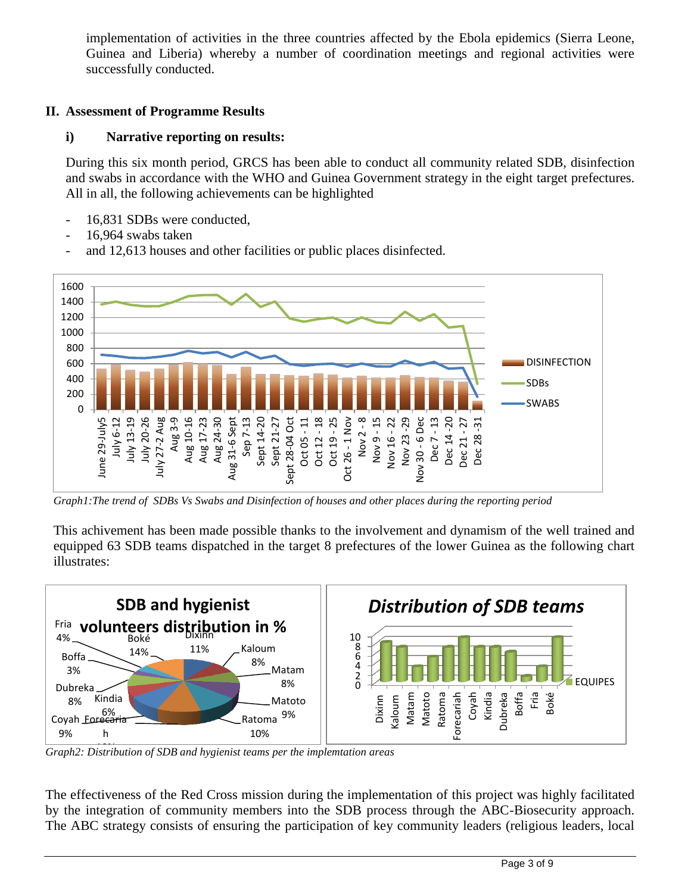implementation of activities in the three countries affected by the Ebola epidemics (Sierra Leone, Guinea and Liberia) whereby a number of coordination meetings and regional activities were successfully conducted.

## **II. Assessment of Programme Results**

## **i) Narrative reporting on results:**

During this six month period, GRCS has been able to conduct all community related SDB, disinfection and swabs in accordance with the WHO and Guinea Government strategy in the eight target prefectures. All in all, the following achievements can be highlighted

- 16,831 SDBs were conducted.
- 16,964 swabs taken
- and 12,613 houses and other facilities or public places disinfected.



*Graph1:The trend of SDBs Vs Swabs and Disinfection of houses and other places during the reporting period*

This achivement has been made possible thanks to the involvement and dynamism of the well trained and equipped 63 SDB teams dispatched in the target 8 prefectures of the lower Guinea as the following chart illustrates:



*Graph2: Distribution of SDB and hygienist teams per the implemtation areas* 10%

The effectiveness of the Red Cross mission during the implementation of this project was highly facilitated by the integration of community members into the SDB process through the ABC-Biosecurity approach. The ABC strategy consists of ensuring the participation of key community leaders (religious leaders, local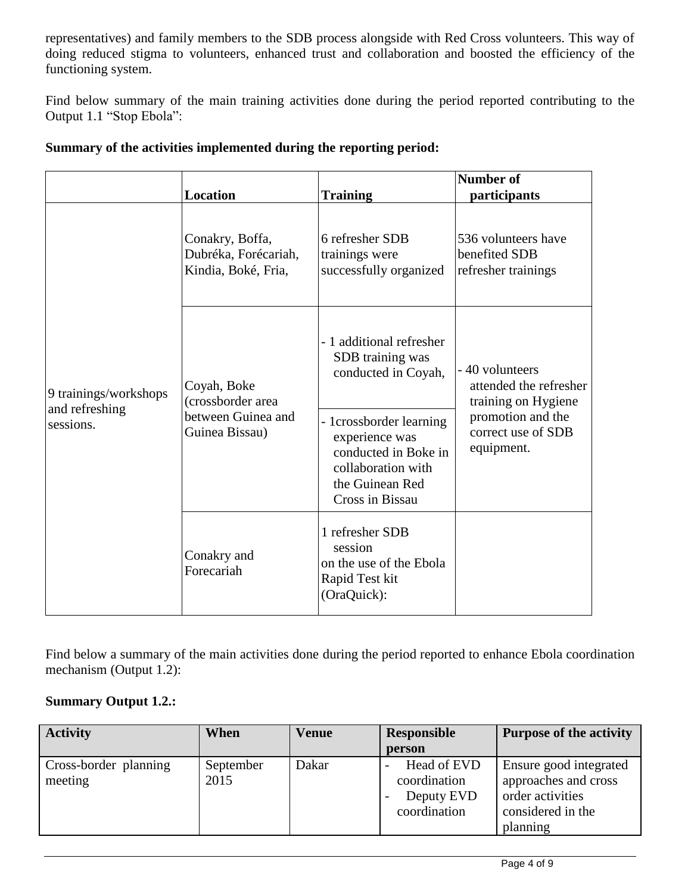representatives) and family members to the SDB process alongside with Red Cross volunteers. This way of doing reduced stigma to volunteers, enhanced trust and collaboration and boosted the efficiency of the functioning system.

Find below summary of the main training activities done during the period reported contributing to the Output 1.1 "Stop Ebola":

|                                                      | <b>Location</b>                                                          | <b>Training</b>                                                                                                                                                                                      | <b>Number of</b><br>participants                                                                                          |
|------------------------------------------------------|--------------------------------------------------------------------------|------------------------------------------------------------------------------------------------------------------------------------------------------------------------------------------------------|---------------------------------------------------------------------------------------------------------------------------|
| 9 trainings/workshops<br>and refreshing<br>sessions. | Conakry, Boffa,<br>Dubréka, Forécariah,<br>Kindia, Boké, Fria,           | 6 refresher SDB<br>trainings were<br>successfully organized                                                                                                                                          | 536 volunteers have<br>benefited SDB<br>refresher trainings                                                               |
|                                                      | Coyah, Boke<br>(crossborder area<br>between Guinea and<br>Guinea Bissau) | - 1 additional refresher<br>SDB training was<br>conducted in Coyah,<br>- 1crossborder learning<br>experience was<br>conducted in Boke in<br>collaboration with<br>the Guinean Red<br>Cross in Bissau | - 40 volunteers<br>attended the refresher<br>training on Hygiene<br>promotion and the<br>correct use of SDB<br>equipment. |
|                                                      | Conakry and<br>Forecariah                                                | 1 refresher SDB<br>session<br>on the use of the Ebola<br>Rapid Test kit<br>(OraQuick):                                                                                                               |                                                                                                                           |

## **Summary of the activities implemented during the reporting period:**

Find below a summary of the main activities done during the period reported to enhance Ebola coordination mechanism (Output 1.2):

# **Summary Output 1.2.:**

| <b>Activity</b>                  | When              | <b>Venue</b> | <b>Responsible</b>                                        | <b>Purpose of the activity</b>                                                                      |
|----------------------------------|-------------------|--------------|-----------------------------------------------------------|-----------------------------------------------------------------------------------------------------|
|                                  |                   |              | person                                                    |                                                                                                     |
| Cross-border planning<br>meeting | September<br>2015 | Dakar        | Head of EVD<br>coordination<br>Deputy EVD<br>coordination | Ensure good integrated<br>approaches and cross<br>order activities<br>considered in the<br>planning |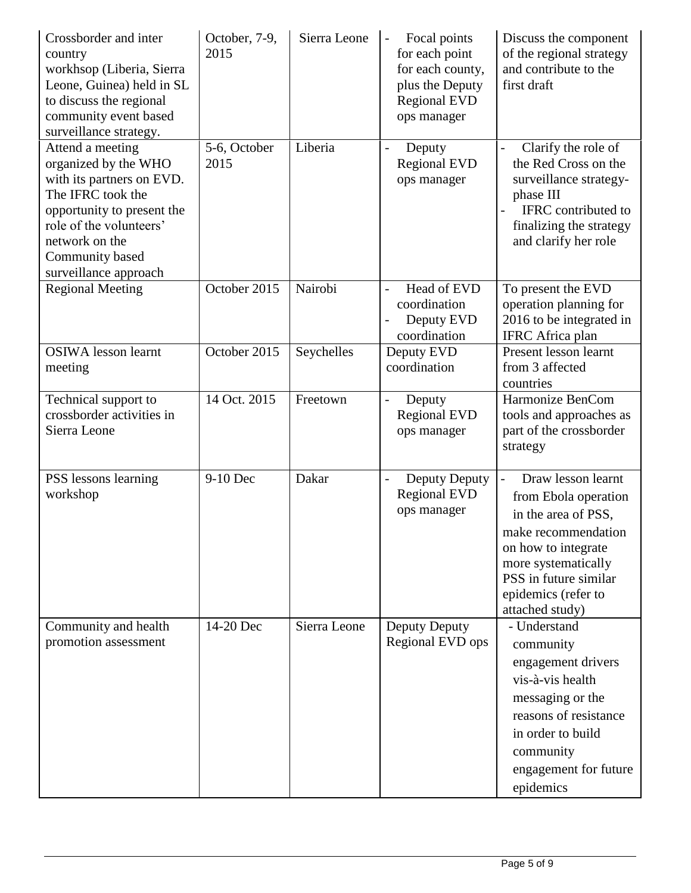| Crossborder and inter<br>country<br>workhsop (Liberia, Sierra<br>Leone, Guinea) held in SL<br>to discuss the regional<br>community event based<br>surveillance strategy.                                          | October, 7-9,<br>2015 | Sierra Leone | Focal points<br>for each point<br>for each county,<br>plus the Deputy<br><b>Regional EVD</b><br>ops manager | Discuss the component<br>of the regional strategy<br>and contribute to the<br>first draft                                                                                                                                   |
|-------------------------------------------------------------------------------------------------------------------------------------------------------------------------------------------------------------------|-----------------------|--------------|-------------------------------------------------------------------------------------------------------------|-----------------------------------------------------------------------------------------------------------------------------------------------------------------------------------------------------------------------------|
| Attend a meeting<br>organized by the WHO<br>with its partners on EVD.<br>The IFRC took the<br>opportunity to present the<br>role of the volunteers'<br>network on the<br>Community based<br>surveillance approach | 5-6, October<br>2015  | Liberia      | Deputy<br><b>Regional EVD</b><br>ops manager                                                                | Clarify the role of<br>$\overline{a}$<br>the Red Cross on the<br>surveillance strategy-<br>phase III<br>IFRC contributed to<br>finalizing the strategy<br>and clarify her role                                              |
| <b>Regional Meeting</b>                                                                                                                                                                                           | October 2015          | Nairobi      | Head of EVD<br>coordination<br>Deputy EVD<br>coordination                                                   | To present the EVD<br>operation planning for<br>2016 to be integrated in<br><b>IFRC</b> Africa plan                                                                                                                         |
| <b>OSIWA</b> lesson learnt<br>meeting                                                                                                                                                                             | October 2015          | Seychelles   | Deputy EVD<br>coordination                                                                                  | Present lesson learnt<br>from 3 affected<br>countries                                                                                                                                                                       |
| Technical support to<br>crossborder activities in<br>Sierra Leone                                                                                                                                                 | 14 Oct. 2015          | Freetown     | Deputy<br><b>Regional EVD</b><br>ops manager                                                                | Harmonize BenCom<br>tools and approaches as<br>part of the crossborder<br>strategy                                                                                                                                          |
| PSS lessons learning<br>workshop                                                                                                                                                                                  | 9-10 Dec              | Dakar        | Deputy Deputy<br><b>Regional EVD</b><br>ops manager                                                         | Draw lesson learnt<br>$\overline{a}$<br>from Ebola operation<br>in the area of PSS,<br>make recommendation<br>on how to integrate<br>more systematically<br>PSS in future similar<br>epidemics (refer to<br>attached study) |
| Community and health<br>promotion assessment                                                                                                                                                                      | 14-20 Dec             | Sierra Leone | Deputy Deputy<br>Regional EVD ops                                                                           | - Understand<br>community<br>engagement drivers<br>vis-à-vis health<br>messaging or the<br>reasons of resistance<br>in order to build<br>community<br>engagement for future<br>epidemics                                    |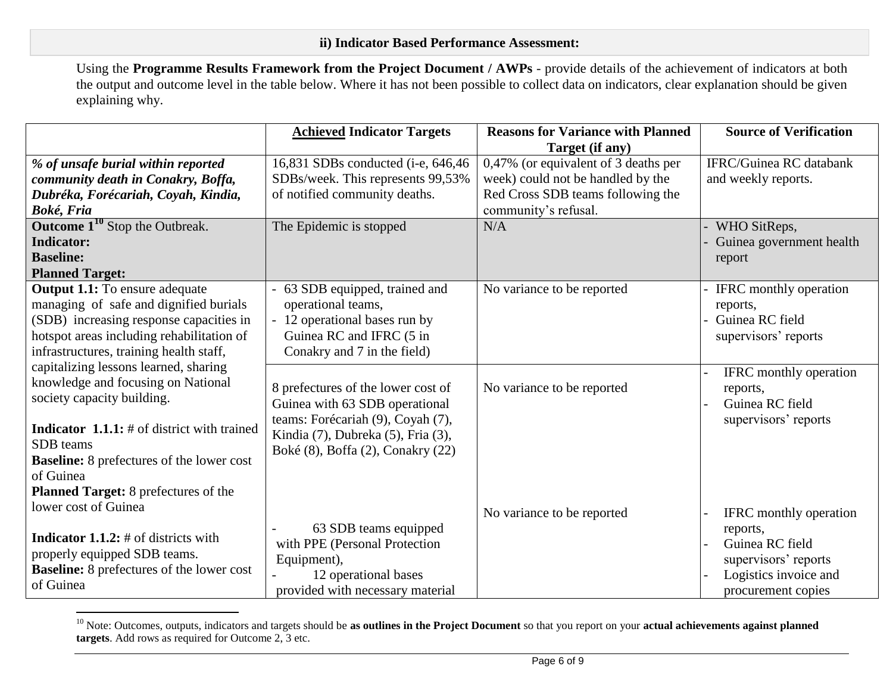Using the **Programme Results Framework from the Project Document / AWPs** - provide details of the achievement of indicators at both the output and outcome level in the table below. Where it has not been possible to collect data on indicators, clear explanation should be given explaining why.

|                                                       | <b>Achieved Indicator Targets</b>   | <b>Reasons for Variance with Planned</b> | <b>Source of Verification</b>  |
|-------------------------------------------------------|-------------------------------------|------------------------------------------|--------------------------------|
|                                                       |                                     | Target (if any)                          |                                |
| % of unsafe burial within reported                    | 16,831 SDBs conducted (i-e, 646,46) | 0,47% (or equivalent of 3 deaths per     | <b>IFRC/Guinea RC</b> databank |
| community death in Conakry, Boffa,                    | SDBs/week. This represents 99,53%   | week) could not be handled by the        | and weekly reports.            |
| Dubréka, Forécariah, Coyah, Kindia,                   | of notified community deaths.       | Red Cross SDB teams following the        |                                |
| Boké, Fria                                            |                                     | community's refusal.                     |                                |
| <b>Outcome <math>1^{10}</math></b> Stop the Outbreak. | The Epidemic is stopped             | N/A                                      | WHO SitReps,                   |
| <b>Indicator:</b>                                     |                                     |                                          | Guinea government health       |
| <b>Baseline:</b>                                      |                                     |                                          | report                         |
| <b>Planned Target:</b>                                |                                     |                                          |                                |
| <b>Output 1.1:</b> To ensure adequate                 | 63 SDB equipped, trained and        | No variance to be reported               | <b>IFRC</b> monthly operation  |
| managing of safe and dignified burials                | operational teams,                  |                                          | reports,                       |
| (SDB) increasing response capacities in               | 12 operational bases run by         |                                          | Guinea RC field                |
| hotspot areas including rehabilitation of             | Guinea RC and IFRC (5 in            |                                          | supervisors' reports           |
| infrastructures, training health staff,               | Conakry and 7 in the field)         |                                          |                                |
| capitalizing lessons learned, sharing                 |                                     |                                          | <b>IFRC</b> monthly operation  |
| knowledge and focusing on National                    | 8 prefectures of the lower cost of  | No variance to be reported               | reports,                       |
| society capacity building.                            | Guinea with 63 SDB operational      |                                          | Guinea RC field                |
|                                                       | teams: Forécariah (9), Coyah (7),   |                                          | supervisors' reports           |
| <b>Indicator 1.1.1:</b> # of district with trained    | Kindia (7), Dubreka (5), Fria (3),  |                                          |                                |
| SDB teams                                             | Boké (8), Boffa (2), Conakry (22)   |                                          |                                |
| <b>Baseline:</b> 8 prefectures of the lower cost      |                                     |                                          |                                |
| of Guinea                                             |                                     |                                          |                                |
| Planned Target: 8 prefectures of the                  |                                     |                                          |                                |
| lower cost of Guinea                                  |                                     | No variance to be reported               | <b>IFRC</b> monthly operation  |
|                                                       | 63 SDB teams equipped               |                                          | reports,                       |
| <b>Indicator 1.1.2:</b> # of districts with           | with PPE (Personal Protection       |                                          | Guinea RC field                |
| properly equipped SDB teams.                          | Equipment),                         |                                          | supervisors' reports           |
| <b>Baseline:</b> 8 prefectures of the lower cost      | 12 operational bases                |                                          | Logistics invoice and          |
| of Guinea                                             | provided with necessary material    |                                          | procurement copies             |

<sup>&</sup>lt;sup>10</sup> Note: Outcomes, outputs, indicators and targets should be **as outlines in the Project Document** so that you report on your **actual achievements against planned targets**. Add rows as required for Outcome 2, 3 etc.

 $\overline{a}$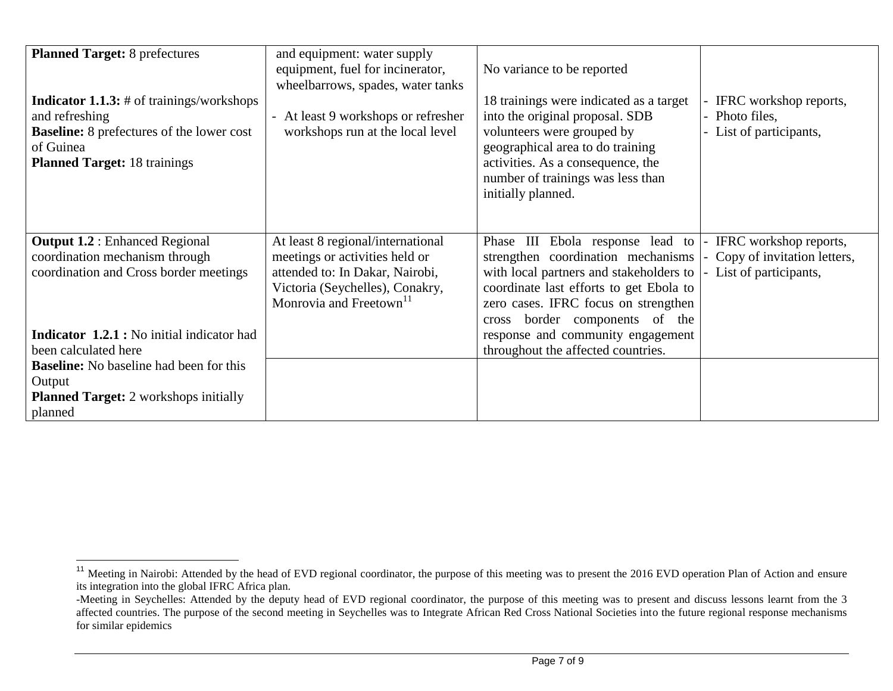| <b>Planned Target: 8 prefectures</b><br><b>Indicator 1.1.3:</b> # of trainings/workshops<br>and refreshing | and equipment: water supply<br>equipment, fuel for incinerator,<br>wheelbarrows, spades, water tanks<br>- At least 9 workshops or refresher | No variance to be reported<br>18 trainings were indicated as a target<br>into the original proposal. SDB | IFRC workshop reports,<br>Photo files, |
|------------------------------------------------------------------------------------------------------------|---------------------------------------------------------------------------------------------------------------------------------------------|----------------------------------------------------------------------------------------------------------|----------------------------------------|
| <b>Baseline:</b> 8 prefectures of the lower cost<br>of Guinea                                              | workshops run at the local level                                                                                                            | volunteers were grouped by<br>geographical area to do training                                           | List of participants,                  |
| <b>Planned Target: 18 trainings</b>                                                                        |                                                                                                                                             | activities. As a consequence, the                                                                        |                                        |
|                                                                                                            |                                                                                                                                             | number of trainings was less than                                                                        |                                        |
|                                                                                                            |                                                                                                                                             | initially planned.                                                                                       |                                        |
|                                                                                                            |                                                                                                                                             |                                                                                                          |                                        |
| <b>Output 1.2: Enhanced Regional</b>                                                                       | At least 8 regional/international                                                                                                           | Phase III Ebola response lead to                                                                         | IFRC workshop reports,                 |
| coordination mechanism through                                                                             | meetings or activities held or                                                                                                              | strengthen coordination mechanisms                                                                       | Copy of invitation letters,            |
| coordination and Cross border meetings                                                                     | attended to: In Dakar, Nairobi,                                                                                                             | with local partners and stakeholders to                                                                  | List of participants,                  |
|                                                                                                            | Victoria (Seychelles), Conakry,                                                                                                             | coordinate last efforts to get Ebola to                                                                  |                                        |
|                                                                                                            | Monrovia and Freetown <sup>11</sup>                                                                                                         | zero cases. IFRC focus on strengthen                                                                     |                                        |
| <b>Indicator 1.2.1 :</b> No initial indicator had                                                          |                                                                                                                                             | border components of the<br>cross<br>response and community engagement                                   |                                        |
| been calculated here                                                                                       |                                                                                                                                             | throughout the affected countries.                                                                       |                                        |
| <b>Baseline:</b> No baseline had been for this                                                             |                                                                                                                                             |                                                                                                          |                                        |
| Output                                                                                                     |                                                                                                                                             |                                                                                                          |                                        |
| <b>Planned Target:</b> 2 workshops initially                                                               |                                                                                                                                             |                                                                                                          |                                        |
| planned                                                                                                    |                                                                                                                                             |                                                                                                          |                                        |

 $\overline{a}$ 

<sup>&</sup>lt;sup>11</sup> Meeting in Nairobi: Attended by the head of EVD regional coordinator, the purpose of this meeting was to present the 2016 EVD operation Plan of Action and ensure its integration into the global IFRC Africa plan.

<sup>-</sup>Meeting in Seychelles: Attended by the deputy head of EVD regional coordinator, the purpose of this meeting was to present and discuss lessons learnt from the 3 affected countries. The purpose of the second meeting in Seychelles was to Integrate African Red Cross National Societies into the future regional response mechanisms for similar epidemics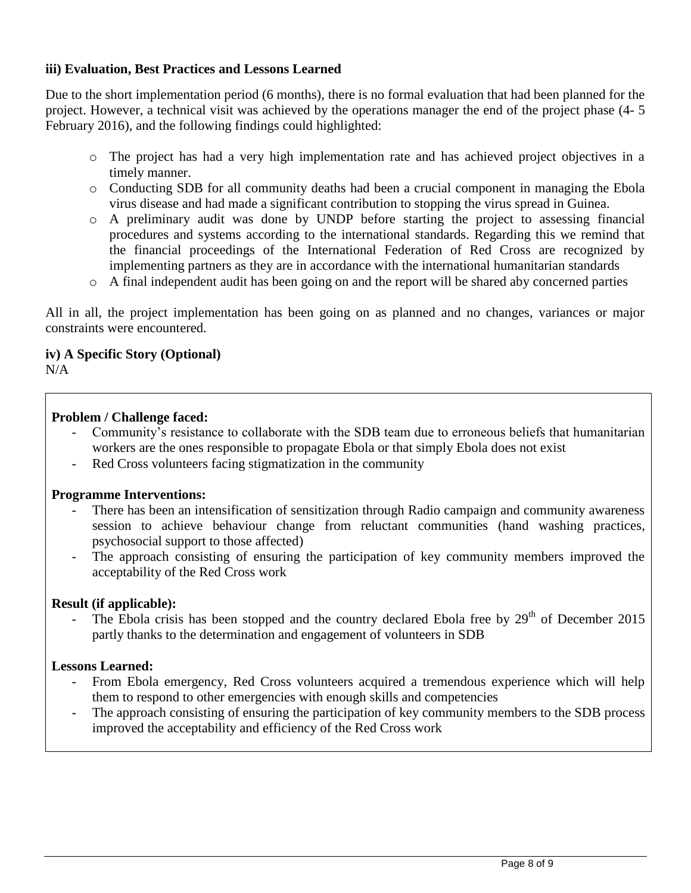## **iii) Evaluation, Best Practices and Lessons Learned**

Due to the short implementation period (6 months), there is no formal evaluation that had been planned for the project. However, a technical visit was achieved by the operations manager the end of the project phase (4- 5 February 2016), and the following findings could highlighted:

- o The project has had a very high implementation rate and has achieved project objectives in a timely manner.
- o Conducting SDB for all community deaths had been a crucial component in managing the Ebola virus disease and had made a significant contribution to stopping the virus spread in Guinea.
- o A preliminary audit was done by UNDP before starting the project to assessing financial procedures and systems according to the international standards. Regarding this we remind that the financial proceedings of the International Federation of Red Cross are recognized by implementing partners as they are in accordance with the international humanitarian standards
- o A final independent audit has been going on and the report will be shared aby concerned parties

All in all, the project implementation has been going on as planned and no changes, variances or major constraints were encountered.

# **iv) A Specific Story (Optional)**

 $N/A$ 

## **Problem / Challenge faced:**

- Community's resistance to collaborate with the SDB team due to erroneous beliefs that humanitarian workers are the ones responsible to propagate Ebola or that simply Ebola does not exist
- Red Cross volunteers facing stigmatization in the community

#### **Programme Interventions:**

- There has been an intensification of sensitization through Radio campaign and community awareness session to achieve behaviour change from reluctant communities (hand washing practices, psychosocial support to those affected)
- The approach consisting of ensuring the participation of key community members improved the acceptability of the Red Cross work

#### **Result (if applicable):**

The Ebola crisis has been stopped and the country declared Ebola free by  $29<sup>th</sup>$  of December 2015 partly thanks to the determination and engagement of volunteers in SDB

#### **Lessons Learned:**

- From Ebola emergency, Red Cross volunteers acquired a tremendous experience which will help them to respond to other emergencies with enough skills and competencies
- The approach consisting of ensuring the participation of key community members to the SDB process improved the acceptability and efficiency of the Red Cross work